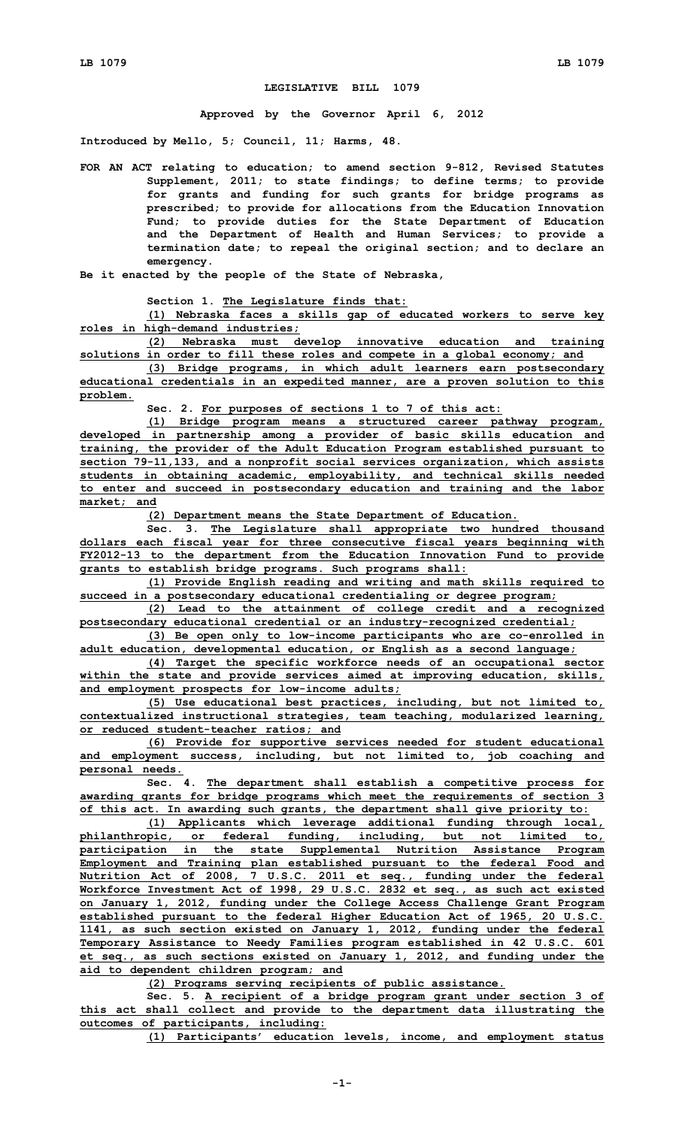## **LEGISLATIVE BILL 1079**

**Approved by the Governor April 6, 2012**

**Introduced by Mello, 5; Council, 11; Harms, 48.**

**FOR AN ACT relating to education; to amend section 9-812, Revised Statutes Supplement, 2011; to state findings; to define terms; to provide for grants and funding for such grants for bridge programs as prescribed; to provide for allocations from the Education Innovation Fund; to provide duties for the State Department of Education and the Department of Health and Human Services; to provide <sup>a</sup> termination date; to repeal the original section; and to declare an emergency.**

**Be it enacted by the people of the State of Nebraska,**

**Section 1. The Legislature finds that:**

**(1) Nebraska faces <sup>a</sup> skills gap of educated workers to serve key roles in high-demand industries;**

**(2) Nebraska must develop innovative education and training solutions in order to fill these roles and compete in <sup>a</sup> global economy; and**

**(3) Bridge programs, in which adult learners earn postsecondary educational credentials in an expedited manner, are <sup>a</sup> proven solution to this problem.**

**Sec. 2. For purposes of sections 1 to 7 of this act:**

**(1) Bridge program means <sup>a</sup> structured career pathway program, developed in partnership among <sup>a</sup> provider of basic skills education and training, the provider of the Adult Education Program established pursuant to section 79-11,133, and <sup>a</sup> nonprofit social services organization, which assists students in obtaining academic, employability, and technical skills needed to enter and succeed in postsecondary education and training and the labor market; and**

**(2) Department means the State Department of Education.**

**Sec. 3. The Legislature shall appropriate two hundred thousand dollars each fiscal year for three consecutive fiscal years beginning with FY2012-13 to the department from the Education Innovation Fund to provide grants to establish bridge programs. Such programs shall:**

**(1) Provide English reading and writing and math skills required to succeed in <sup>a</sup> postsecondary educational credentialing or degree program;**

**(2) Lead to the attainment of college credit and <sup>a</sup> recognized postsecondary educational credential or an industry-recognized credential;**

**(3) Be open only to low-income participants who are co-enrolled in adult education, developmental education, or English as <sup>a</sup> second language;**

**(4) Target the specific workforce needs of an occupational sector within the state and provide services aimed at improving education, skills, and employment prospects for low-income adults;**

**(5) Use educational best practices, including, but not limited to, contextualized instructional strategies, team teaching, modularized learning, or reduced student-teacher ratios; and**

**(6) Provide for supportive services needed for student educational and employment success, including, but not limited to, job coaching and personal needs.**

**Sec. 4. The department shall establish <sup>a</sup> competitive process for awarding grants for bridge programs which meet the requirements of section 3 of this act. In awarding such grants, the department shall give priority to:**

**(1) Applicants which leverage additional funding through local, philanthropic, or federal funding, including, but not limited to, participation in the state Supplemental Nutrition Assistance Program Employment and Training plan established pursuant to the federal Food and Nutrition Act of 2008, 7 U.S.C. 2011 et seq., funding under the federal Workforce Investment Act of 1998, 29 U.S.C. 2832 et seq., as such act existed on January 1, 2012, funding under the College Access Challenge Grant Program established pursuant to the federal Higher Education Act of 1965, 20 U.S.C. 1141, as such section existed on January 1, 2012, funding under the federal Temporary Assistance to Needy Families program established in 42 U.S.C. 601 et seq., as such sections existed on January 1, 2012, and funding under the aid to dependent children program; and**

**(2) Programs serving recipients of public assistance.**

**Sec. 5. <sup>A</sup> recipient of <sup>a</sup> bridge program grant under section 3 of this act shall collect and provide to the department data illustrating the outcomes of participants, including:**

**(1) Participants' education levels, income, and employment status**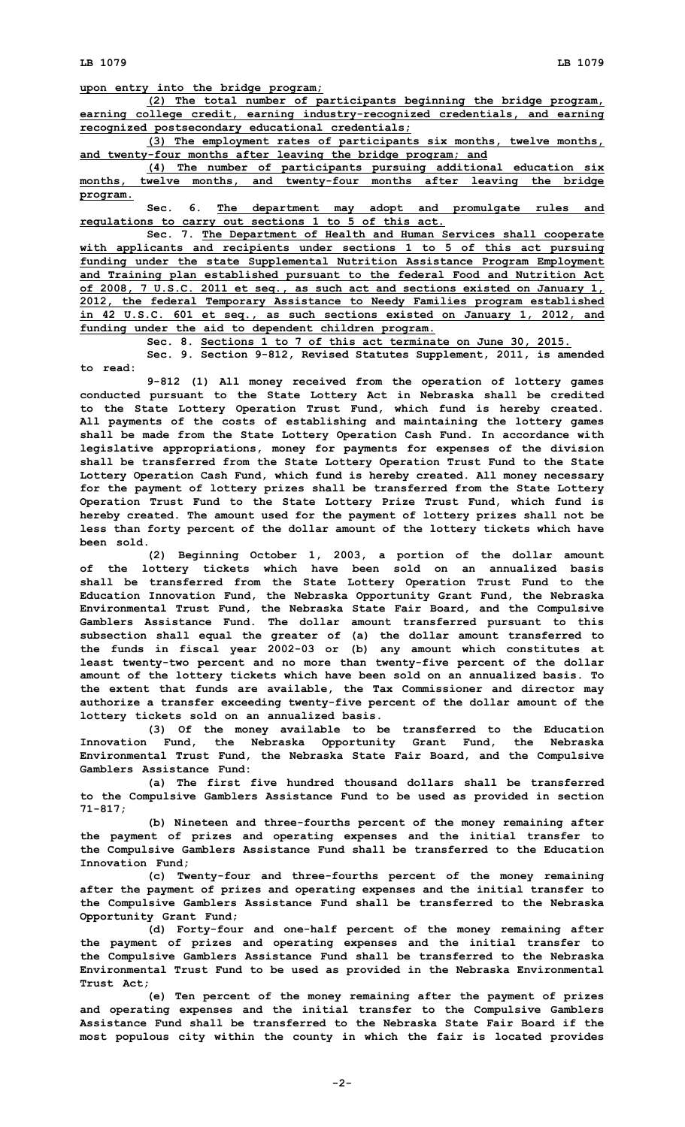**upon entry into the bridge program;**

**(2) The total number of participants beginning the bridge program, earning college credit, earning industry-recognized credentials, and earning recognized postsecondary educational credentials;**

**(3) The employment rates of participants six months, twelve months, and twenty-four months after leaving the bridge program; and**

**(4) The number of participants pursuing additional education six months, twelve months, and twenty-four months after leaving the bridge program.**

**Sec. 6. The department may adopt and promulgate rules and regulations to carry out sections 1 to 5 of this act.**

**Sec. 7. The Department of Health and Human Services shall cooperate with applicants and recipients under sections 1 to 5 of this act pursuing funding under the state Supplemental Nutrition Assistance Program Employment and Training plan established pursuant to the federal Food and Nutrition Act of 2008, 7 U.S.C. 2011 et seq., as such act and sections existed on January 1, 2012, the federal Temporary Assistance to Needy Families program established in 42 U.S.C. 601 et seq., as such sections existed on January 1, 2012, and funding under the aid to dependent children program.**

**Sec. 8. Sections 1 to 7 of this act terminate on June 30, 2015.**

**Sec. 9. Section 9-812, Revised Statutes Supplement, 2011, is amended to read:**

**9-812 (1) All money received from the operation of lottery games conducted pursuant to the State Lottery Act in Nebraska shall be credited to the State Lottery Operation Trust Fund, which fund is hereby created. All payments of the costs of establishing and maintaining the lottery games shall be made from the State Lottery Operation Cash Fund. In accordance with legislative appropriations, money for payments for expenses of the division shall be transferred from the State Lottery Operation Trust Fund to the State Lottery Operation Cash Fund, which fund is hereby created. All money necessary for the payment of lottery prizes shall be transferred from the State Lottery Operation Trust Fund to the State Lottery Prize Trust Fund, which fund is hereby created. The amount used for the payment of lottery prizes shall not be less than forty percent of the dollar amount of the lottery tickets which have been sold.**

**(2) Beginning October 1, 2003, <sup>a</sup> portion of the dollar amount of the lottery tickets which have been sold on an annualized basis shall be transferred from the State Lottery Operation Trust Fund to the Education Innovation Fund, the Nebraska Opportunity Grant Fund, the Nebraska Environmental Trust Fund, the Nebraska State Fair Board, and the Compulsive Gamblers Assistance Fund. The dollar amount transferred pursuant to this subsection shall equal the greater of (a) the dollar amount transferred to the funds in fiscal year 2002-03 or (b) any amount which constitutes at least twenty-two percent and no more than twenty-five percent of the dollar amount of the lottery tickets which have been sold on an annualized basis. To the extent that funds are available, the Tax Commissioner and director may authorize <sup>a</sup> transfer exceeding twenty-five percent of the dollar amount of the lottery tickets sold on an annualized basis.**

**(3) Of the money available to be transferred to the Education Innovation Fund, the Nebraska Opportunity Grant Fund, the Nebraska Environmental Trust Fund, the Nebraska State Fair Board, and the Compulsive Gamblers Assistance Fund:**

**(a) The first five hundred thousand dollars shall be transferred to the Compulsive Gamblers Assistance Fund to be used as provided in section 71-817;**

**(b) Nineteen and three-fourths percent of the money remaining after the payment of prizes and operating expenses and the initial transfer to the Compulsive Gamblers Assistance Fund shall be transferred to the Education Innovation Fund;**

**(c) Twenty-four and three-fourths percent of the money remaining after the payment of prizes and operating expenses and the initial transfer to the Compulsive Gamblers Assistance Fund shall be transferred to the Nebraska Opportunity Grant Fund;**

**(d) Forty-four and one-half percent of the money remaining after the payment of prizes and operating expenses and the initial transfer to the Compulsive Gamblers Assistance Fund shall be transferred to the Nebraska Environmental Trust Fund to be used as provided in the Nebraska Environmental Trust Act;**

**(e) Ten percent of the money remaining after the payment of prizes and operating expenses and the initial transfer to the Compulsive Gamblers Assistance Fund shall be transferred to the Nebraska State Fair Board if the most populous city within the county in which the fair is located provides**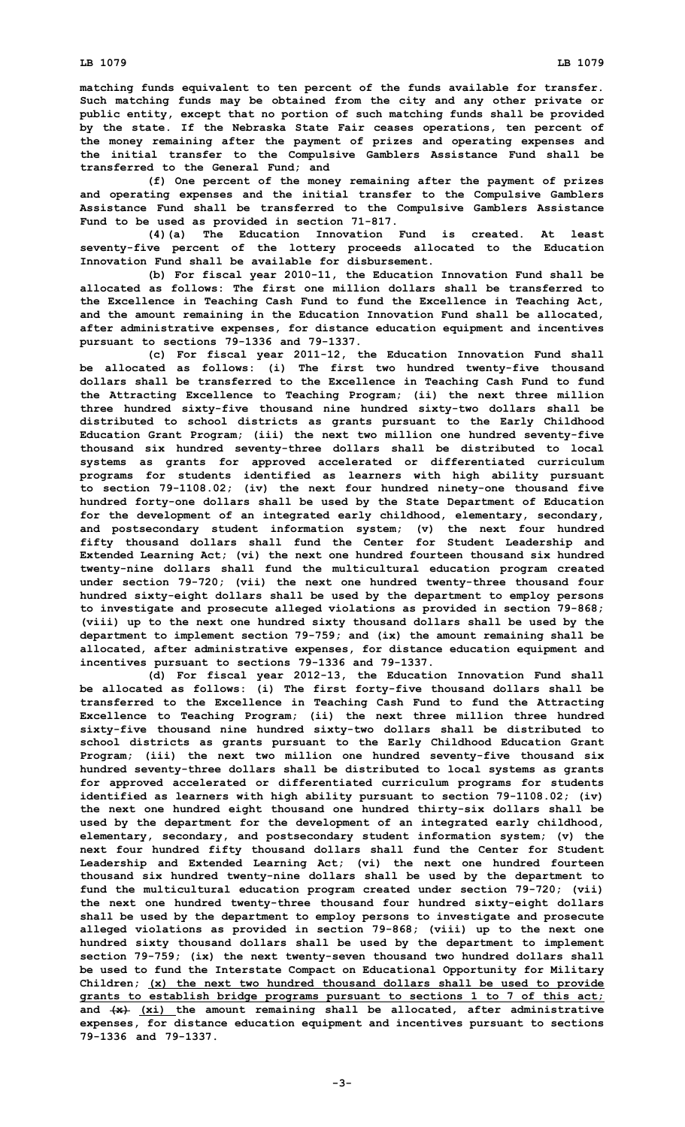**matching funds equivalent to ten percent of the funds available for transfer. Such matching funds may be obtained from the city and any other private or public entity, except that no portion of such matching funds shall be provided by the state. If the Nebraska State Fair ceases operations, ten percent of the money remaining after the payment of prizes and operating expenses and the initial transfer to the Compulsive Gamblers Assistance Fund shall be transferred to the General Fund; and**

**(f) One percent of the money remaining after the payment of prizes and operating expenses and the initial transfer to the Compulsive Gamblers Assistance Fund shall be transferred to the Compulsive Gamblers Assistance Fund to be used as provided in section 71-817.**

**(4)(a) The Education Innovation Fund is created. At least seventy-five percent of the lottery proceeds allocated to the Education Innovation Fund shall be available for disbursement.**

**(b) For fiscal year 2010-11, the Education Innovation Fund shall be allocated as follows: The first one million dollars shall be transferred to the Excellence in Teaching Cash Fund to fund the Excellence in Teaching Act, and the amount remaining in the Education Innovation Fund shall be allocated, after administrative expenses, for distance education equipment and incentives pursuant to sections 79-1336 and 79-1337.**

**(c) For fiscal year 2011-12, the Education Innovation Fund shall be allocated as follows: (i) The first two hundred twenty-five thousand dollars shall be transferred to the Excellence in Teaching Cash Fund to fund the Attracting Excellence to Teaching Program; (ii) the next three million three hundred sixty-five thousand nine hundred sixty-two dollars shall be distributed to school districts as grants pursuant to the Early Childhood Education Grant Program; (iii) the next two million one hundred seventy-five thousand six hundred seventy-three dollars shall be distributed to local systems as grants for approved accelerated or differentiated curriculum programs for students identified as learners with high ability pursuant to section 79-1108.02; (iv) the next four hundred ninety-one thousand five hundred forty-one dollars shall be used by the State Department of Education for the development of an integrated early childhood, elementary, secondary, and postsecondary student information system; (v) the next four hundred fifty thousand dollars shall fund the Center for Student Leadership and Extended Learning Act; (vi) the next one hundred fourteen thousand six hundred twenty-nine dollars shall fund the multicultural education program created under section 79-720; (vii) the next one hundred twenty-three thousand four hundred sixty-eight dollars shall be used by the department to employ persons to investigate and prosecute alleged violations as provided in section 79-868; (viii) up to the next one hundred sixty thousand dollars shall be used by the department to implement section 79-759; and (ix) the amount remaining shall be allocated, after administrative expenses, for distance education equipment and incentives pursuant to sections 79-1336 and 79-1337.**

**(d) For fiscal year 2012-13, the Education Innovation Fund shall be allocated as follows: (i) The first forty-five thousand dollars shall be transferred to the Excellence in Teaching Cash Fund to fund the Attracting Excellence to Teaching Program; (ii) the next three million three hundred sixty-five thousand nine hundred sixty-two dollars shall be distributed to school districts as grants pursuant to the Early Childhood Education Grant Program; (iii) the next two million one hundred seventy-five thousand six hundred seventy-three dollars shall be distributed to local systems as grants for approved accelerated or differentiated curriculum programs for students identified as learners with high ability pursuant to section 79-1108.02; (iv) the next one hundred eight thousand one hundred thirty-six dollars shall be used by the department for the development of an integrated early childhood, elementary, secondary, and postsecondary student information system; (v) the next four hundred fifty thousand dollars shall fund the Center for Student Leadership and Extended Learning Act; (vi) the next one hundred fourteen thousand six hundred twenty-nine dollars shall be used by the department to fund the multicultural education program created under section 79-720; (vii) the next one hundred twenty-three thousand four hundred sixty-eight dollars shall be used by the department to employ persons to investigate and prosecute alleged violations as provided in section 79-868; (viii) up to the next one hundred sixty thousand dollars shall be used by the department to implement section 79-759; (ix) the next twenty-seven thousand two hundred dollars shall be used to fund the Interstate Compact on Educational Opportunity for Military Children; (x) the next two hundred thousand dollars shall be used to provide grants to establish bridge programs pursuant to sections 1 to 7 of this act; and (x) (xi) the amount remaining shall be allocated, after administrative expenses, for distance education equipment and incentives pursuant to sections 79-1336 and 79-1337.**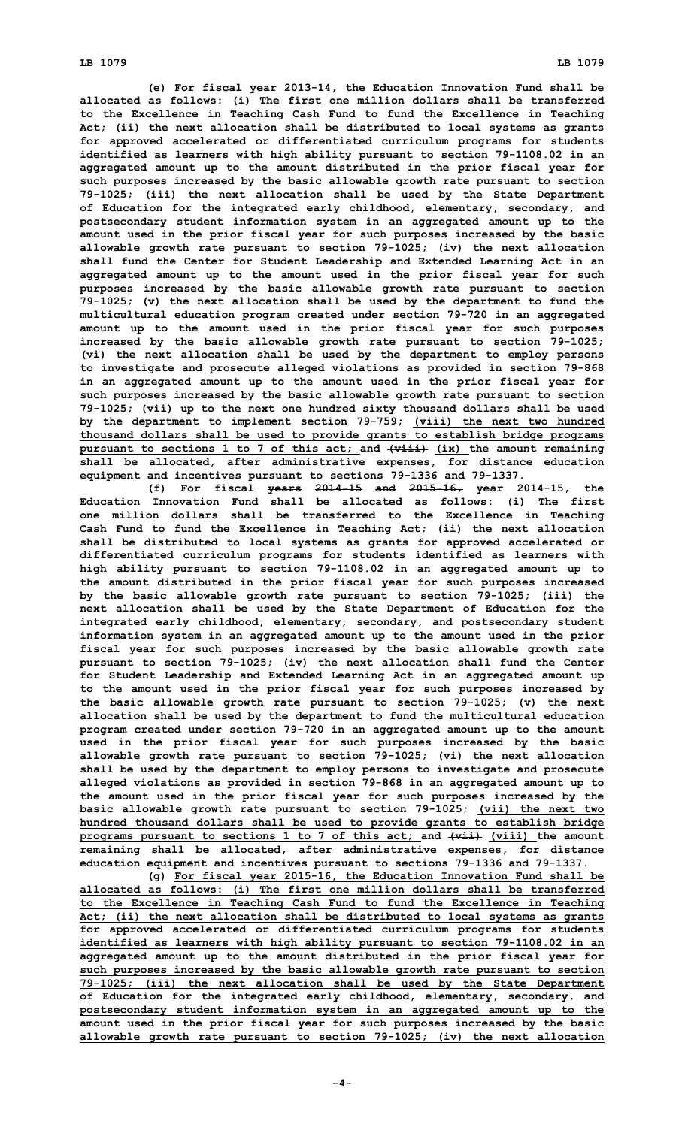**(e) For fiscal year 2013-14, the Education Innovation Fund shall be allocated as follows: (i) The first one million dollars shall be transferred to the Excellence in Teaching Cash Fund to fund the Excellence in Teaching Act; (ii) the next allocation shall be distributed to local systems as grants for approved accelerated or differentiated curriculum programs for students identified as learners with high ability pursuant to section 79-1108.02 in an aggregated amount up to the amount distributed in the prior fiscal year for such purposes increased by the basic allowable growth rate pursuant to section 79-1025; (iii) the next allocation shall be used by the State Department of Education for the integrated early childhood, elementary, secondary, and postsecondary student information system in an aggregated amount up to the amount used in the prior fiscal year for such purposes increased by the basic allowable growth rate pursuant to section 79-1025; (iv) the next allocation shall fund the Center for Student Leadership and Extended Learning Act in an aggregated amount up to the amount used in the prior fiscal year for such purposes increased by the basic allowable growth rate pursuant to section 79-1025; (v) the next allocation shall be used by the department to fund the multicultural education program created under section 79-720 in an aggregated amount up to the amount used in the prior fiscal year for such purposes increased by the basic allowable growth rate pursuant to section 79-1025; (vi) the next allocation shall be used by the department to employ persons to investigate and prosecute alleged violations as provided in section 79-868 in an aggregated amount up to the amount used in the prior fiscal year for such purposes increased by the basic allowable growth rate pursuant to section 79-1025; (vii) up to the next one hundred sixty thousand dollars shall be used by the department to implement section 79-759; (viii) the next two hundred thousand dollars shall be used to provide grants to establish bridge programs pursuant to sections 1 to 7 of this act; and (viii) (ix) the amount remaining shall be allocated, after administrative expenses, for distance education equipment and incentives pursuant to sections 79-1336 and 79-1337.**

**(f) For fiscal years 2014-15 and 2015-16, year 2014-15, the Education Innovation Fund shall be allocated as follows: (i) The first one million dollars shall be transferred to the Excellence in Teaching Cash Fund to fund the Excellence in Teaching Act; (ii) the next allocation shall be distributed to local systems as grants for approved accelerated or differentiated curriculum programs for students identified as learners with high ability pursuant to section 79-1108.02 in an aggregated amount up to the amount distributed in the prior fiscal year for such purposes increased by the basic allowable growth rate pursuant to section 79-1025; (iii) the next allocation shall be used by the State Department of Education for the integrated early childhood, elementary, secondary, and postsecondary student information system in an aggregated amount up to the amount used in the prior fiscal year for such purposes increased by the basic allowable growth rate pursuant to section 79-1025; (iv) the next allocation shall fund the Center for Student Leadership and Extended Learning Act in an aggregated amount up to the amount used in the prior fiscal year for such purposes increased by the basic allowable growth rate pursuant to section 79-1025; (v) the next allocation shall be used by the department to fund the multicultural education program created under section 79-720 in an aggregated amount up to the amount used in the prior fiscal year for such purposes increased by the basic allowable growth rate pursuant to section 79-1025; (vi) the next allocation shall be used by the department to employ persons to investigate and prosecute alleged violations as provided in section 79-868 in an aggregated amount up to the amount used in the prior fiscal year for such purposes increased by the basic allowable growth rate pursuant to section 79-1025; (vii) the next two hundred thousand dollars shall be used to provide grants to establish bridge programs pursuant to sections 1 to 7 of this act; and (vii) (viii) the amount remaining shall be allocated, after administrative expenses, for distance education equipment and incentives pursuant to sections 79-1336 and 79-1337.**

**(g) For fiscal year 2015-16, the Education Innovation Fund shall be allocated as follows: (i) The first one million dollars shall be transferred to the Excellence in Teaching Cash Fund to fund the Excellence in Teaching Act; (ii) the next allocation shall be distributed to local systems as grants for approved accelerated or differentiated curriculum programs for students identified as learners with high ability pursuant to section 79-1108.02 in an aggregated amount up to the amount distributed in the prior fiscal year for such purposes increased by the basic allowable growth rate pursuant to section 79-1025; (iii) the next allocation shall be used by the State Department of Education for the integrated early childhood, elementary, secondary, and postsecondary student information system in an aggregated amount up to the amount used in the prior fiscal year for such purposes increased by the basic allowable growth rate pursuant to section 79-1025; (iv) the next allocation**